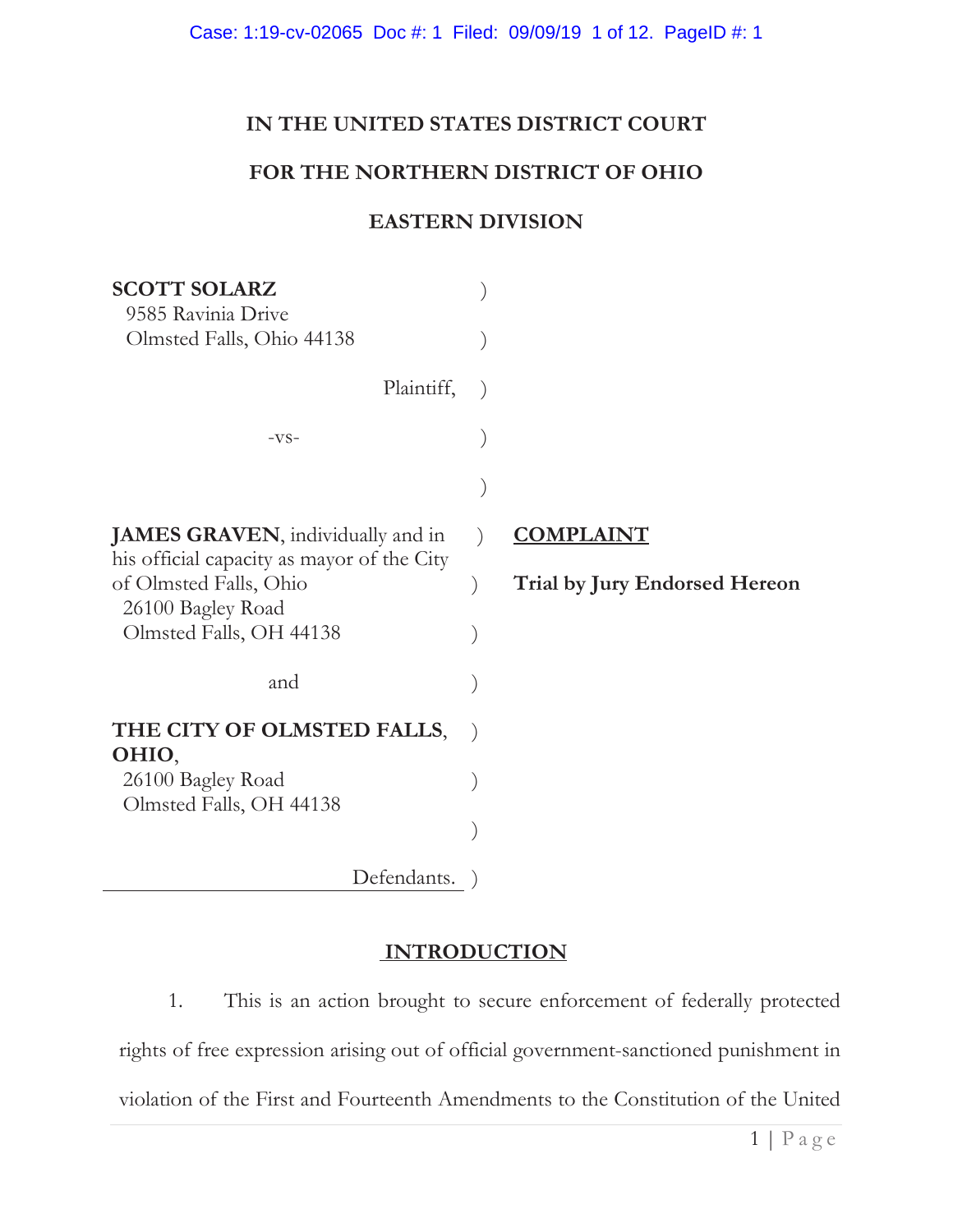Case: 1:19-cv-02065 Doc #: 1 Filed: 09/09/19 1 of 12. PageID #: 1

### **IN THE UNITED STATES DISTRICT COURT**

### **FOR THE NORTHERN DISTRICT OF OHIO**

### **EASTERN DIVISION**

| <b>SCOTT SOLARZ</b><br>9585 Ravinia Drive                                                                         |  |                                      |
|-------------------------------------------------------------------------------------------------------------------|--|--------------------------------------|
| Olmsted Falls, Ohio 44138                                                                                         |  |                                      |
| Plaintiff,                                                                                                        |  |                                      |
| $-VS-$                                                                                                            |  |                                      |
|                                                                                                                   |  |                                      |
| <b>JAMES GRAVEN</b> , individually and in<br>his official capacity as mayor of the City<br>of Olmsted Falls, Ohio |  | <b>COMPLAINT</b>                     |
|                                                                                                                   |  | <b>Trial by Jury Endorsed Hereon</b> |
| 26100 Bagley Road<br>Olmsted Falls, OH 44138                                                                      |  |                                      |
| and                                                                                                               |  |                                      |
| THE CITY OF OLMSTED FALLS,<br>OHIO,                                                                               |  |                                      |
| 26100 Bagley Road<br>Olmsted Falls, OH 44138                                                                      |  |                                      |
|                                                                                                                   |  |                                      |
| Defendants.                                                                                                       |  |                                      |

### **INTRODUCTION**

1. This is an action brought to secure enforcement of federally protected rights of free expression arising out of official government-sanctioned punishment in violation of the First and Fourteenth Amendments to the Constitution of the United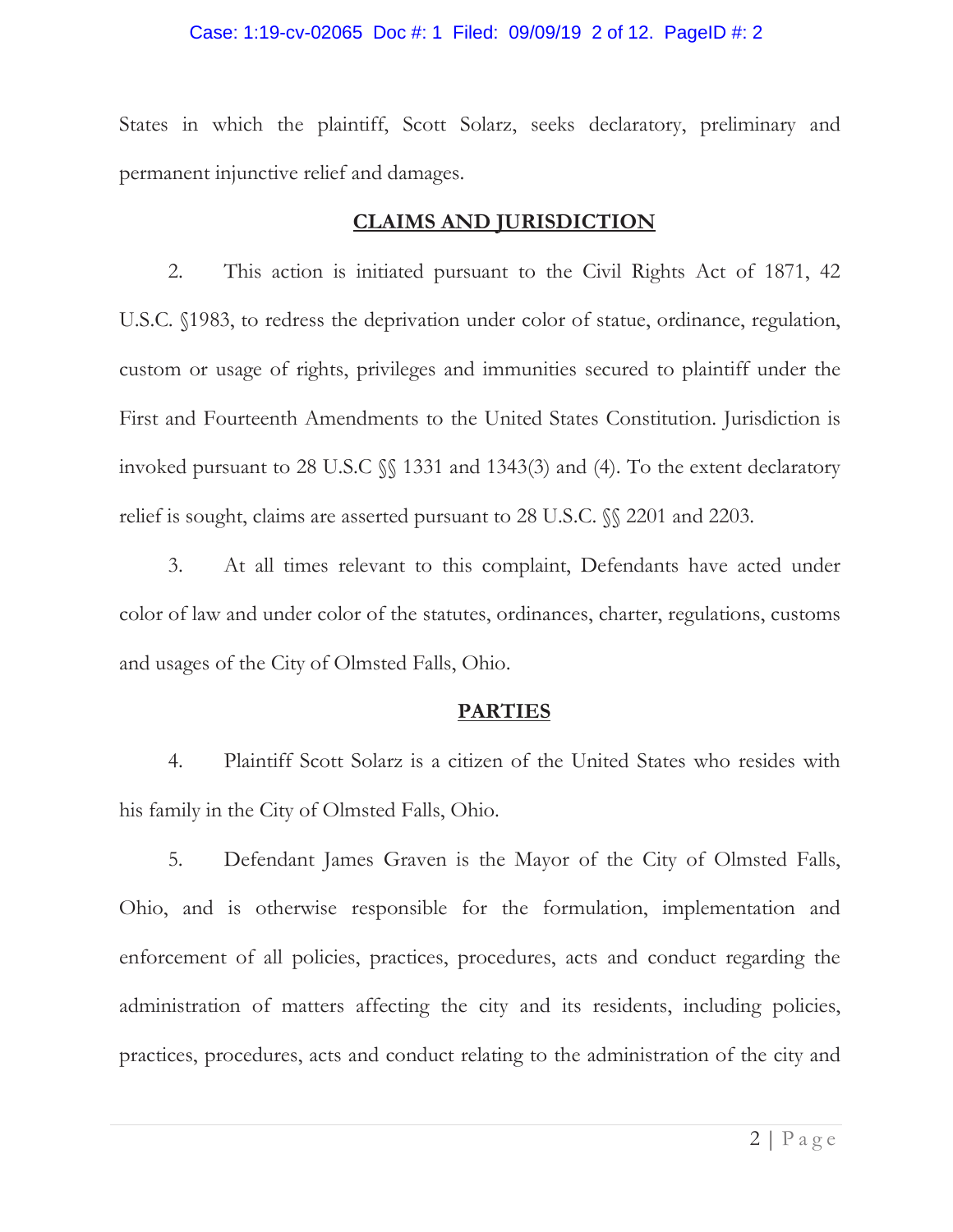#### Case: 1:19-cv-02065 Doc #: 1 Filed: 09/09/19 2 of 12. PageID #: 2

States in which the plaintiff, Scott Solarz, seeks declaratory, preliminary and permanent injunctive relief and damages.

### **CLAIMS AND JURISDICTION**

2. This action is initiated pursuant to the Civil Rights Act of 1871, 42 U.S.C. §1983, to redress the deprivation under color of statue, ordinance, regulation, custom or usage of rights, privileges and immunities secured to plaintiff under the First and Fourteenth Amendments to the United States Constitution. Jurisdiction is invoked pursuant to 28 U.S.C §§ 1331 and 1343(3) and (4). To the extent declaratory relief is sought, claims are asserted pursuant to 28 U.S.C. §§ 2201 and 2203.

3. At all times relevant to this complaint, Defendants have acted under color of law and under color of the statutes, ordinances, charter, regulations, customs and usages of the City of Olmsted Falls, Ohio.

### **PARTIES**

4. Plaintiff Scott Solarz is a citizen of the United States who resides with his family in the City of Olmsted Falls, Ohio.

5. Defendant James Graven is the Mayor of the City of Olmsted Falls, Ohio, and is otherwise responsible for the formulation, implementation and enforcement of all policies, practices, procedures, acts and conduct regarding the administration of matters affecting the city and its residents, including policies, practices, procedures, acts and conduct relating to the administration of the city and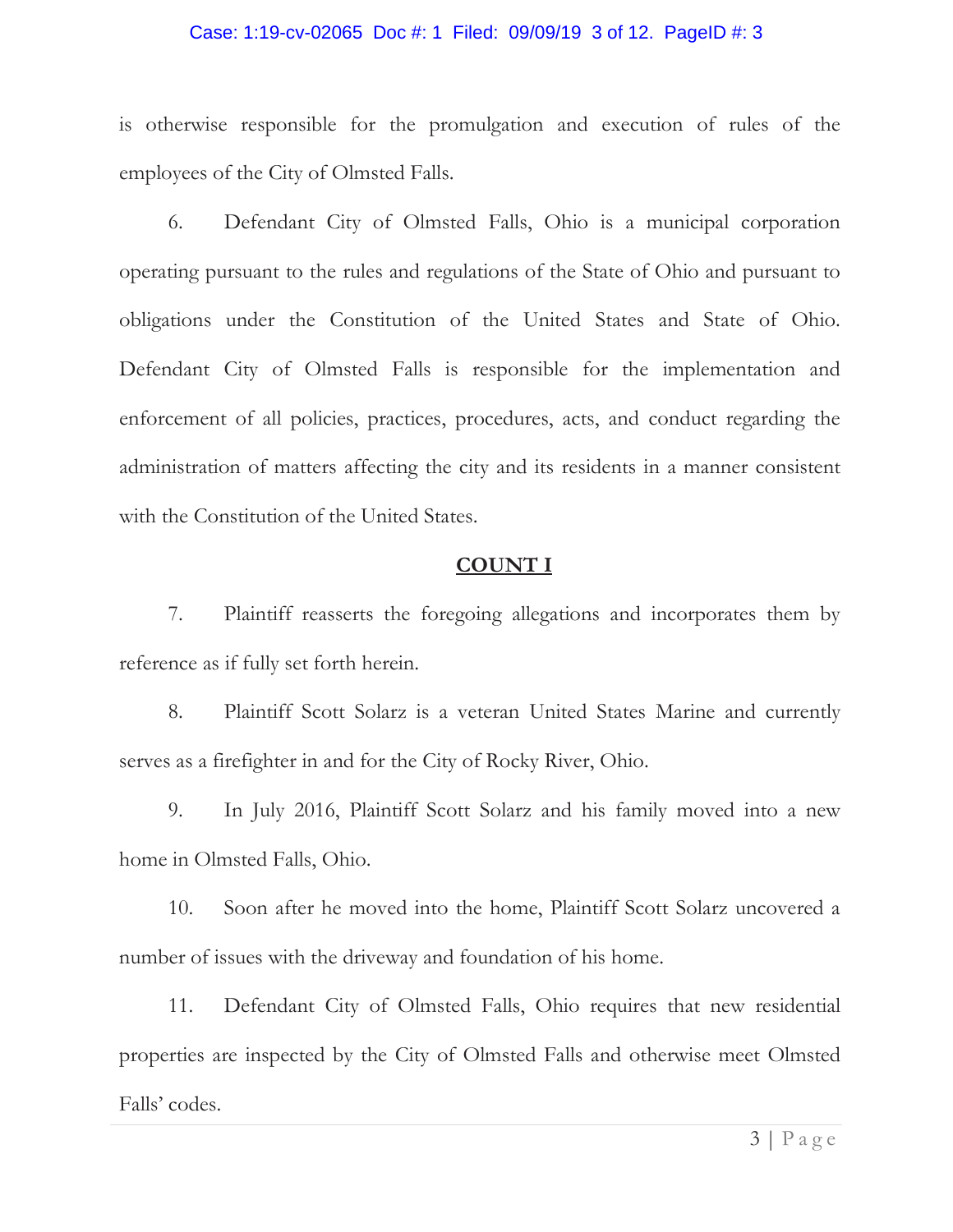#### Case: 1:19-cv-02065 Doc #: 1 Filed: 09/09/19 3 of 12. PageID #: 3

is otherwise responsible for the promulgation and execution of rules of the employees of the City of Olmsted Falls.

6. Defendant City of Olmsted Falls, Ohio is a municipal corporation operating pursuant to the rules and regulations of the State of Ohio and pursuant to obligations under the Constitution of the United States and State of Ohio. Defendant City of Olmsted Falls is responsible for the implementation and enforcement of all policies, practices, procedures, acts, and conduct regarding the administration of matters affecting the city and its residents in a manner consistent with the Constitution of the United States.

#### **COUNT I**

7. Plaintiff reasserts the foregoing allegations and incorporates them by reference as if fully set forth herein.

8. Plaintiff Scott Solarz is a veteran United States Marine and currently serves as a firefighter in and for the City of Rocky River, Ohio.

9. In July 2016, Plaintiff Scott Solarz and his family moved into a new home in Olmsted Falls, Ohio.

10. Soon after he moved into the home, Plaintiff Scott Solarz uncovered a number of issues with the driveway and foundation of his home.

11. Defendant City of Olmsted Falls, Ohio requires that new residential properties are inspected by the City of Olmsted Falls and otherwise meet Olmsted Falls' codes.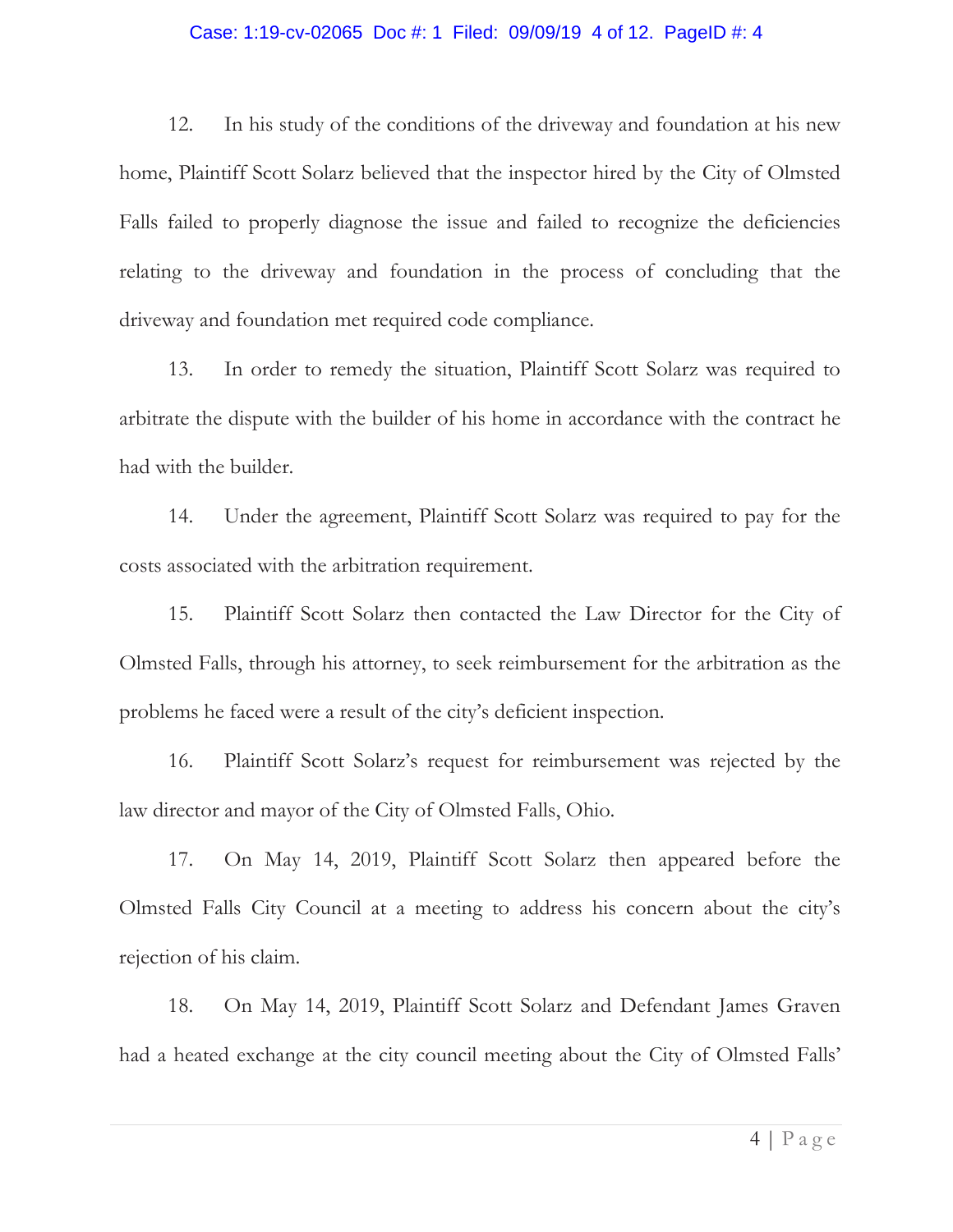#### Case: 1:19-cv-02065 Doc #: 1 Filed: 09/09/19 4 of 12. PageID #: 4

12. In his study of the conditions of the driveway and foundation at his new home, Plaintiff Scott Solarz believed that the inspector hired by the City of Olmsted Falls failed to properly diagnose the issue and failed to recognize the deficiencies relating to the driveway and foundation in the process of concluding that the driveway and foundation met required code compliance.

13. In order to remedy the situation, Plaintiff Scott Solarz was required to arbitrate the dispute with the builder of his home in accordance with the contract he had with the builder.

14. Under the agreement, Plaintiff Scott Solarz was required to pay for the costs associated with the arbitration requirement.

15. Plaintiff Scott Solarz then contacted the Law Director for the City of Olmsted Falls, through his attorney, to seek reimbursement for the arbitration as the problems he faced were a result of the city's deficient inspection.

16. Plaintiff Scott Solarz's request for reimbursement was rejected by the law director and mayor of the City of Olmsted Falls, Ohio.

17. On May 14, 2019, Plaintiff Scott Solarz then appeared before the Olmsted Falls City Council at a meeting to address his concern about the city's rejection of his claim.

18. On May 14, 2019, Plaintiff Scott Solarz and Defendant James Graven had a heated exchange at the city council meeting about the City of Olmsted Falls'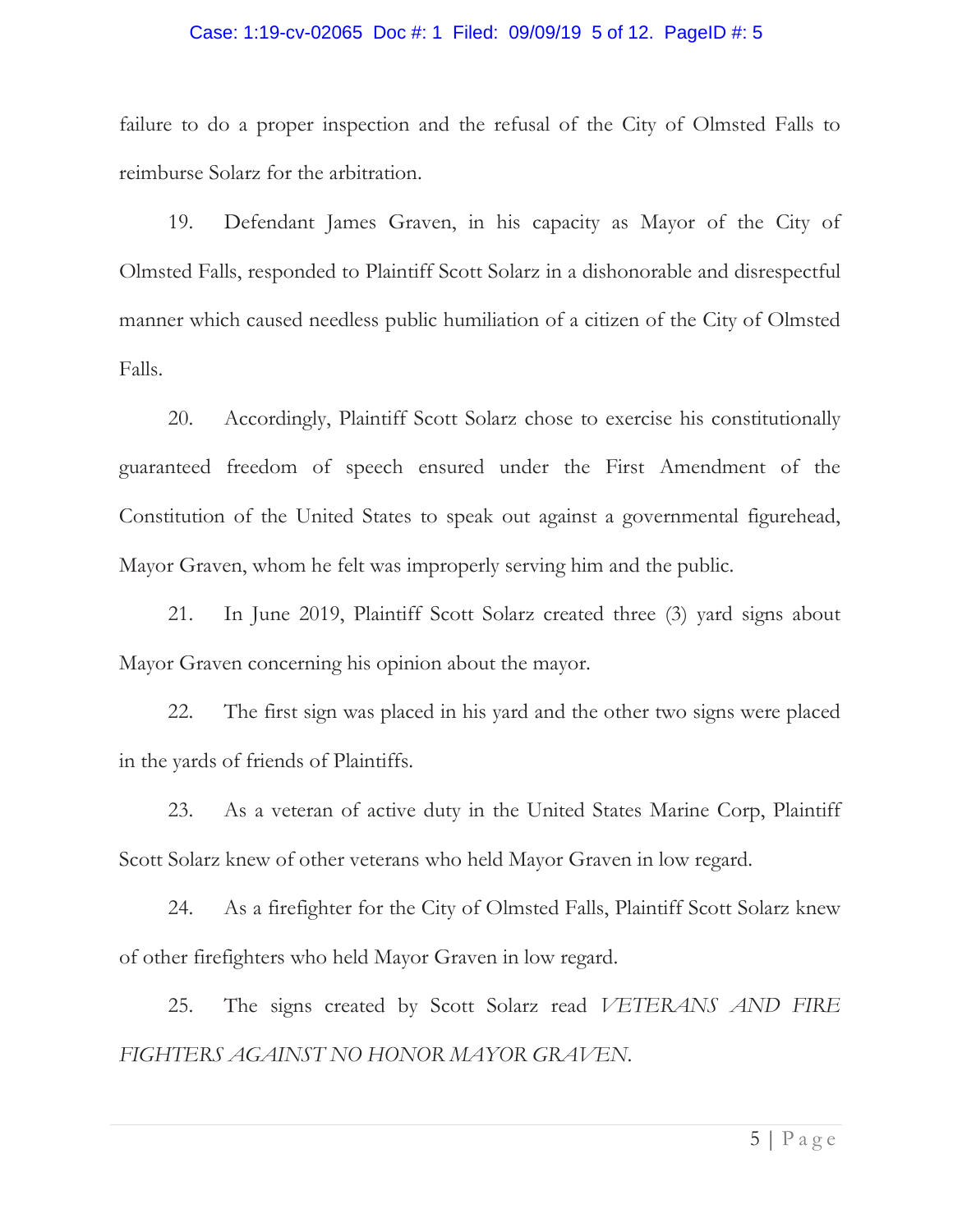#### Case: 1:19-cv-02065 Doc #: 1 Filed: 09/09/19 5 of 12. PageID #: 5

failure to do a proper inspection and the refusal of the City of Olmsted Falls to reimburse Solarz for the arbitration.

19. Defendant James Graven, in his capacity as Mayor of the City of Olmsted Falls, responded to Plaintiff Scott Solarz in a dishonorable and disrespectful manner which caused needless public humiliation of a citizen of the City of Olmsted Falls.

20. Accordingly, Plaintiff Scott Solarz chose to exercise his constitutionally guaranteed freedom of speech ensured under the First Amendment of the Constitution of the United States to speak out against a governmental figurehead, Mayor Graven, whom he felt was improperly serving him and the public.

21. In June 2019, Plaintiff Scott Solarz created three (3) yard signs about Mayor Graven concerning his opinion about the mayor.

22. The first sign was placed in his yard and the other two signs were placed in the yards of friends of Plaintiffs.

23. As a veteran of active duty in the United States Marine Corp, Plaintiff Scott Solarz knew of other veterans who held Mayor Graven in low regard.

24. As a firefighter for the City of Olmsted Falls, Plaintiff Scott Solarz knew of other firefighters who held Mayor Graven in low regard.

25. The signs created by Scott Solarz read *VETERANS AND FIRE FIGHTERS AGAINST NO HONOR MAYOR GRAVEN*.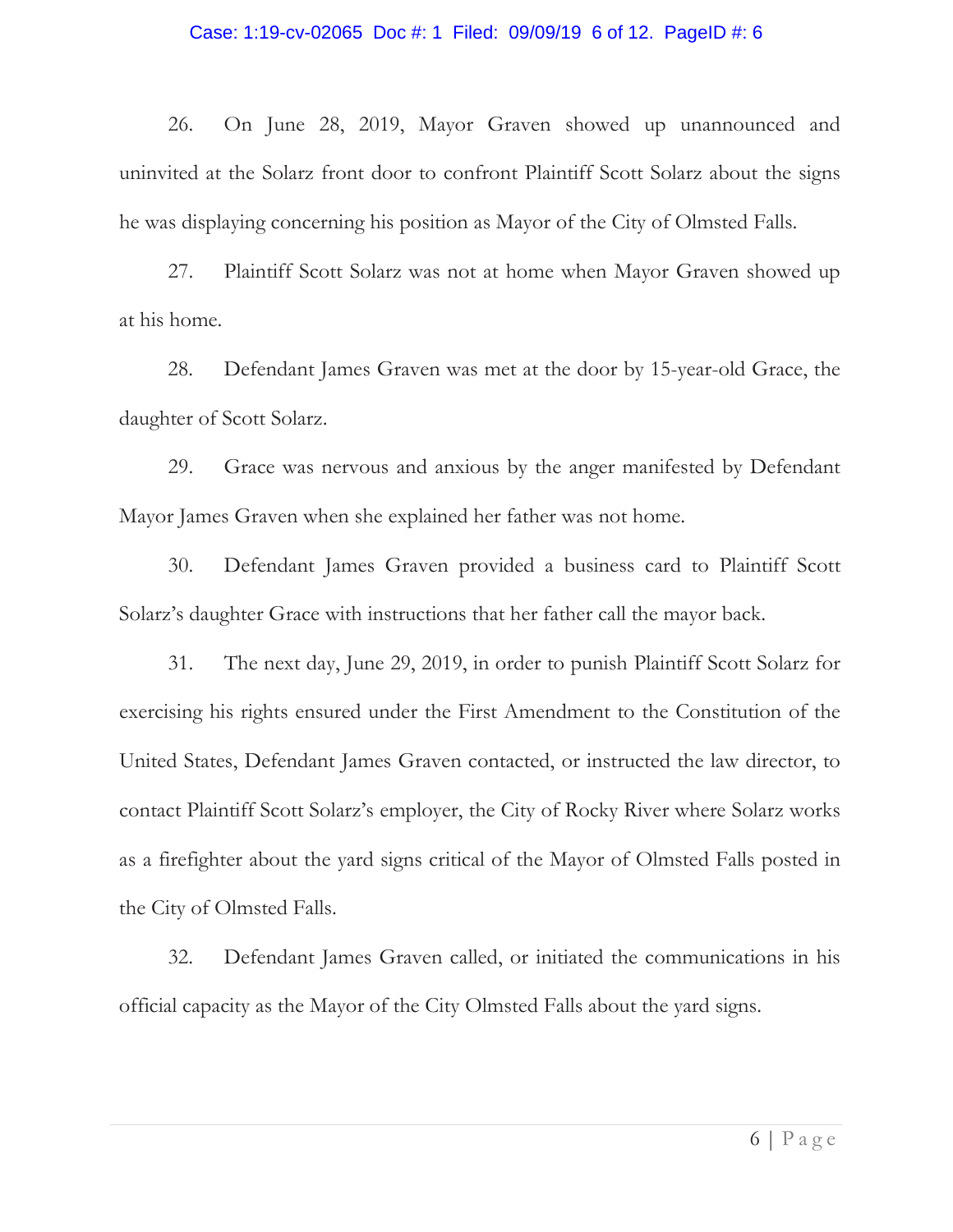#### Case: 1:19-cv-02065 Doc #: 1 Filed: 09/09/19 6 of 12. PageID #: 6

26. On June 28, 2019, Mayor Graven showed up unannounced and uninvited at the Solarz front door to confront Plaintiff Scott Solarz about the signs he was displaying concerning his position as Mayor of the City of Olmsted Falls.

27. Plaintiff Scott Solarz was not at home when Mayor Graven showed up at his home.

28. Defendant James Graven was met at the door by 15-year-old Grace, the daughter of Scott Solarz.

29. Grace was nervous and anxious by the anger manifested by Defendant Mayor James Graven when she explained her father was not home.

30. Defendant James Graven provided a business card to Plaintiff Scott Solarz's daughter Grace with instructions that her father call the mayor back.

31. The next day, June 29, 2019, in order to punish Plaintiff Scott Solarz for exercising his rights ensured under the First Amendment to the Constitution of the United States, Defendant James Graven contacted, or instructed the law director, to contact Plaintiff Scott Solarz's employer, the City of Rocky River where Solarz works as a firefighter about the yard signs critical of the Mayor of Olmsted Falls posted in the City of Olmsted Falls.

32. Defendant James Graven called, or initiated the communications in his official capacity as the Mayor of the City Olmsted Falls about the yard signs.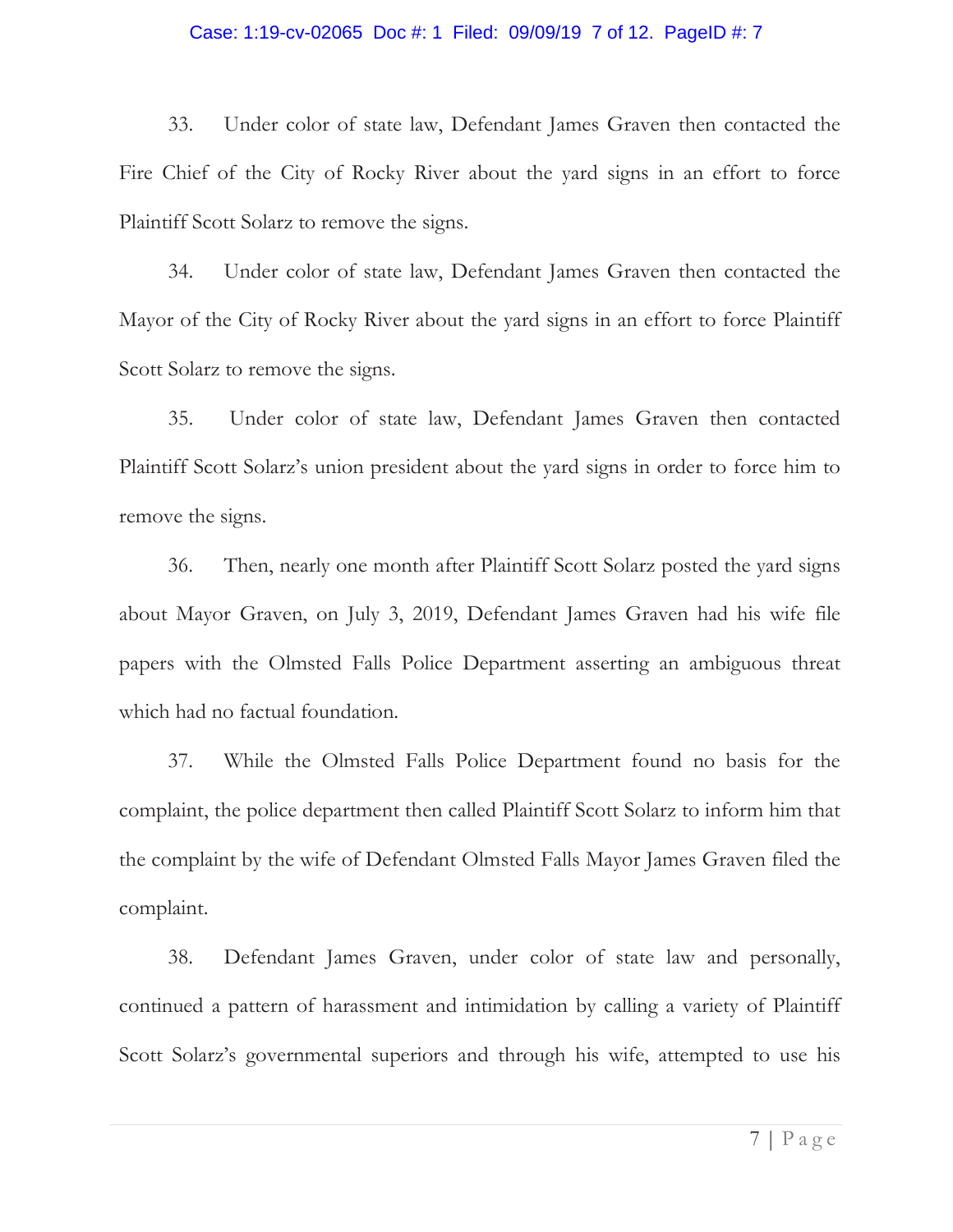#### Case: 1:19-cv-02065 Doc #: 1 Filed: 09/09/19 7 of 12. PageID #: 7

33. Under color of state law, Defendant James Graven then contacted the Fire Chief of the City of Rocky River about the yard signs in an effort to force Plaintiff Scott Solarz to remove the signs.

34. Under color of state law, Defendant James Graven then contacted the Mayor of the City of Rocky River about the yard signs in an effort to force Plaintiff Scott Solarz to remove the signs.

35. Under color of state law, Defendant James Graven then contacted Plaintiff Scott Solarz's union president about the yard signs in order to force him to remove the signs.

36. Then, nearly one month after Plaintiff Scott Solarz posted the yard signs about Mayor Graven, on July 3, 2019, Defendant James Graven had his wife file papers with the Olmsted Falls Police Department asserting an ambiguous threat which had no factual foundation.

37. While the Olmsted Falls Police Department found no basis for the complaint, the police department then called Plaintiff Scott Solarz to inform him that the complaint by the wife of Defendant Olmsted Falls Mayor James Graven filed the complaint.

38. Defendant James Graven, under color of state law and personally, continued a pattern of harassment and intimidation by calling a variety of Plaintiff Scott Solarz's governmental superiors and through his wife, attempted to use his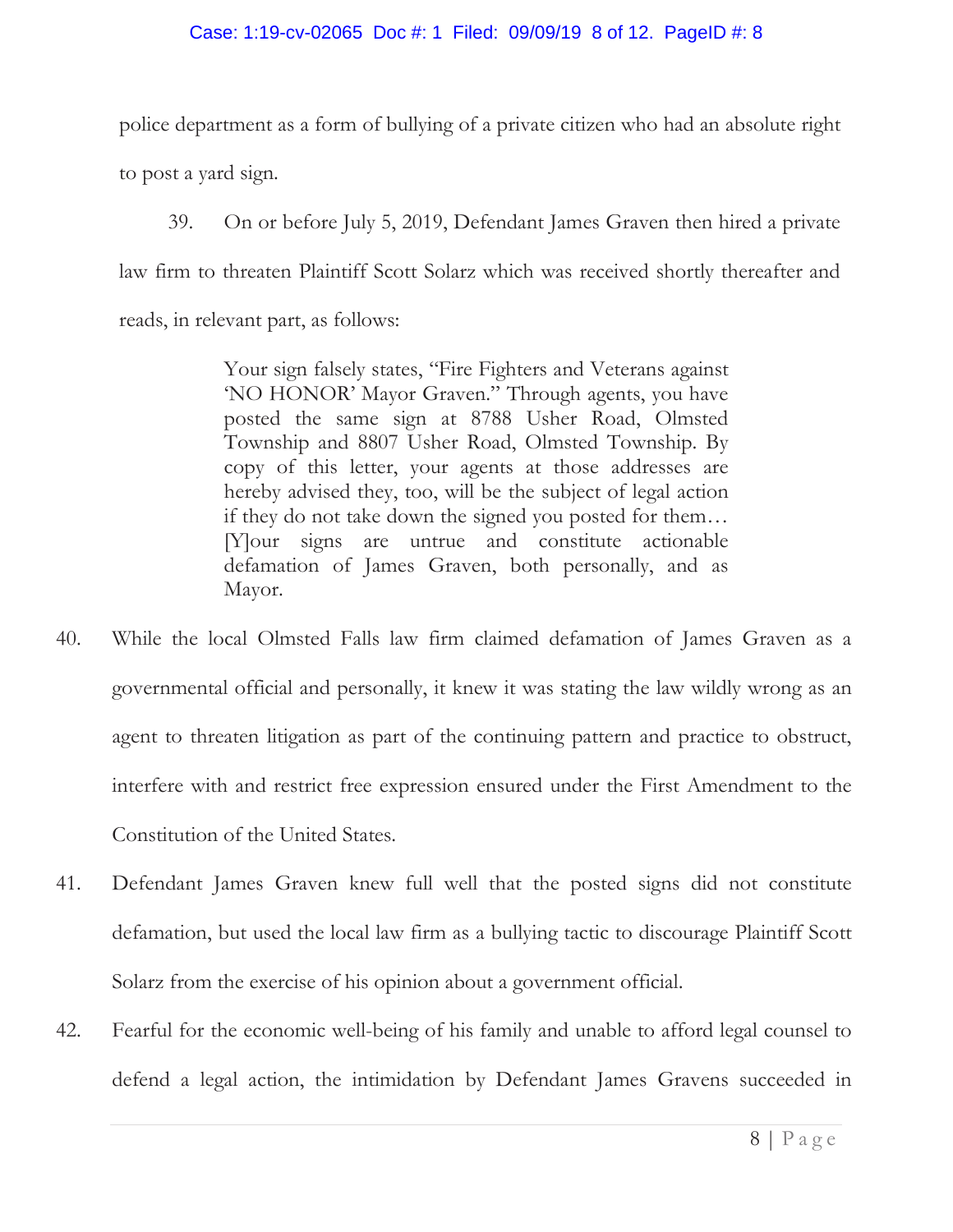#### Case: 1:19-cv-02065 Doc #: 1 Filed: 09/09/19 8 of 12. PageID #: 8

police department as a form of bullying of a private citizen who had an absolute right to post a yard sign.

39. On or before July 5, 2019, Defendant James Graven then hired a private law firm to threaten Plaintiff Scott Solarz which was received shortly thereafter and reads, in relevant part, as follows:

> Your sign falsely states, "Fire Fighters and Veterans against 'NO HONOR' Mayor Graven." Through agents, you have posted the same sign at 8788 Usher Road, Olmsted Township and 8807 Usher Road, Olmsted Township. By copy of this letter, your agents at those addresses are hereby advised they, too, will be the subject of legal action if they do not take down the signed you posted for them… [Y]our signs are untrue and constitute actionable defamation of James Graven, both personally, and as Mayor.

- 40. While the local Olmsted Falls law firm claimed defamation of James Graven as a governmental official and personally, it knew it was stating the law wildly wrong as an agent to threaten litigation as part of the continuing pattern and practice to obstruct, interfere with and restrict free expression ensured under the First Amendment to the Constitution of the United States.
- 41. Defendant James Graven knew full well that the posted signs did not constitute defamation, but used the local law firm as a bullying tactic to discourage Plaintiff Scott Solarz from the exercise of his opinion about a government official.
- 42. Fearful for the economic well-being of his family and unable to afford legal counsel to defend a legal action, the intimidation by Defendant James Gravens succeeded in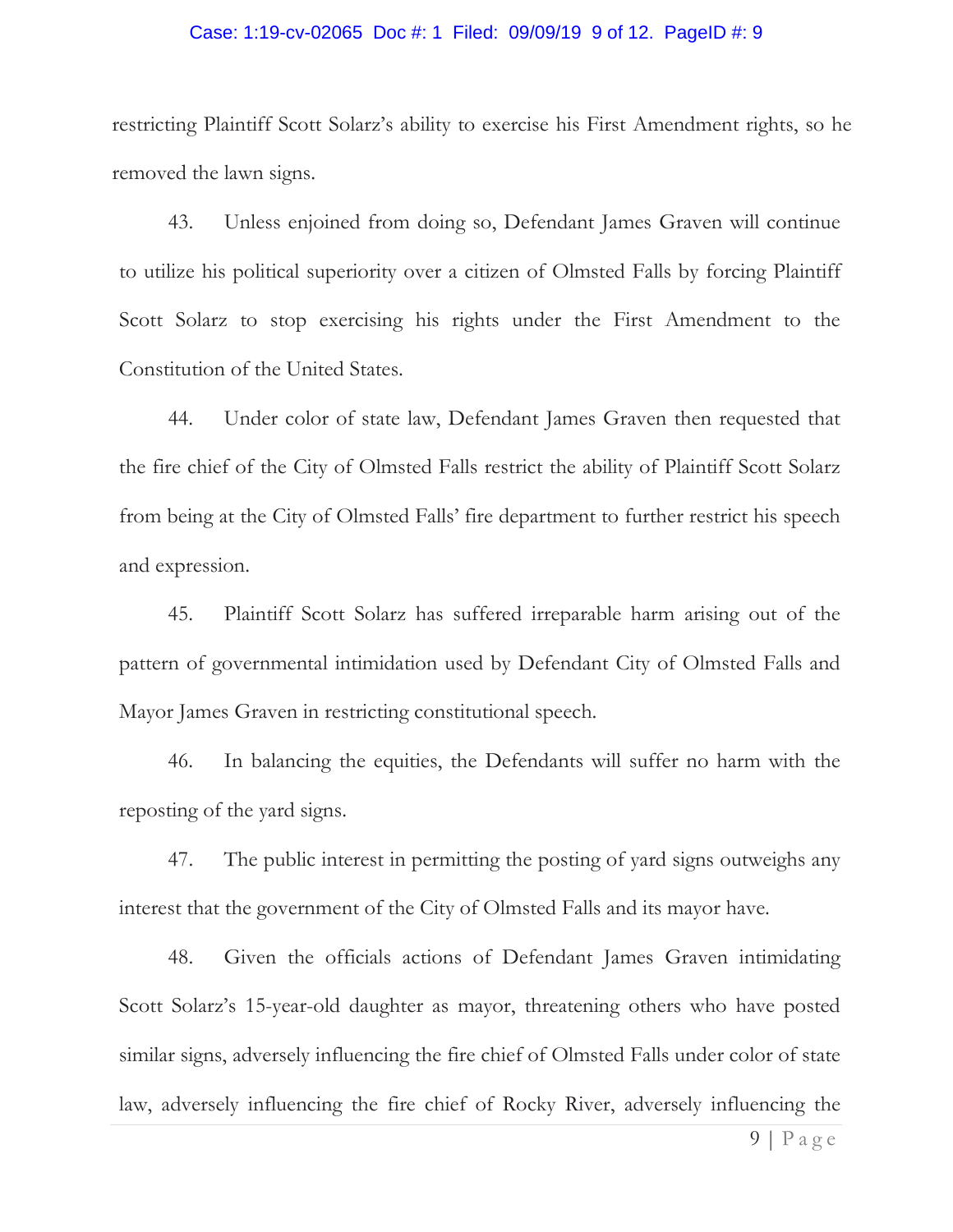#### Case: 1:19-cv-02065 Doc #: 1 Filed: 09/09/19 9 of 12. PageID #: 9

restricting Plaintiff Scott Solarz's ability to exercise his First Amendment rights, so he removed the lawn signs.

43. Unless enjoined from doing so, Defendant James Graven will continue to utilize his political superiority over a citizen of Olmsted Falls by forcing Plaintiff Scott Solarz to stop exercising his rights under the First Amendment to the Constitution of the United States.

44. Under color of state law, Defendant James Graven then requested that the fire chief of the City of Olmsted Falls restrict the ability of Plaintiff Scott Solarz from being at the City of Olmsted Falls' fire department to further restrict his speech and expression.

45. Plaintiff Scott Solarz has suffered irreparable harm arising out of the pattern of governmental intimidation used by Defendant City of Olmsted Falls and Mayor James Graven in restricting constitutional speech.

46. In balancing the equities, the Defendants will suffer no harm with the reposting of the yard signs.

47. The public interest in permitting the posting of yard signs outweighs any interest that the government of the City of Olmsted Falls and its mayor have.

48. Given the officials actions of Defendant James Graven intimidating Scott Solarz's 15-year-old daughter as mayor, threatening others who have posted similar signs, adversely influencing the fire chief of Olmsted Falls under color of state law, adversely influencing the fire chief of Rocky River, adversely influencing the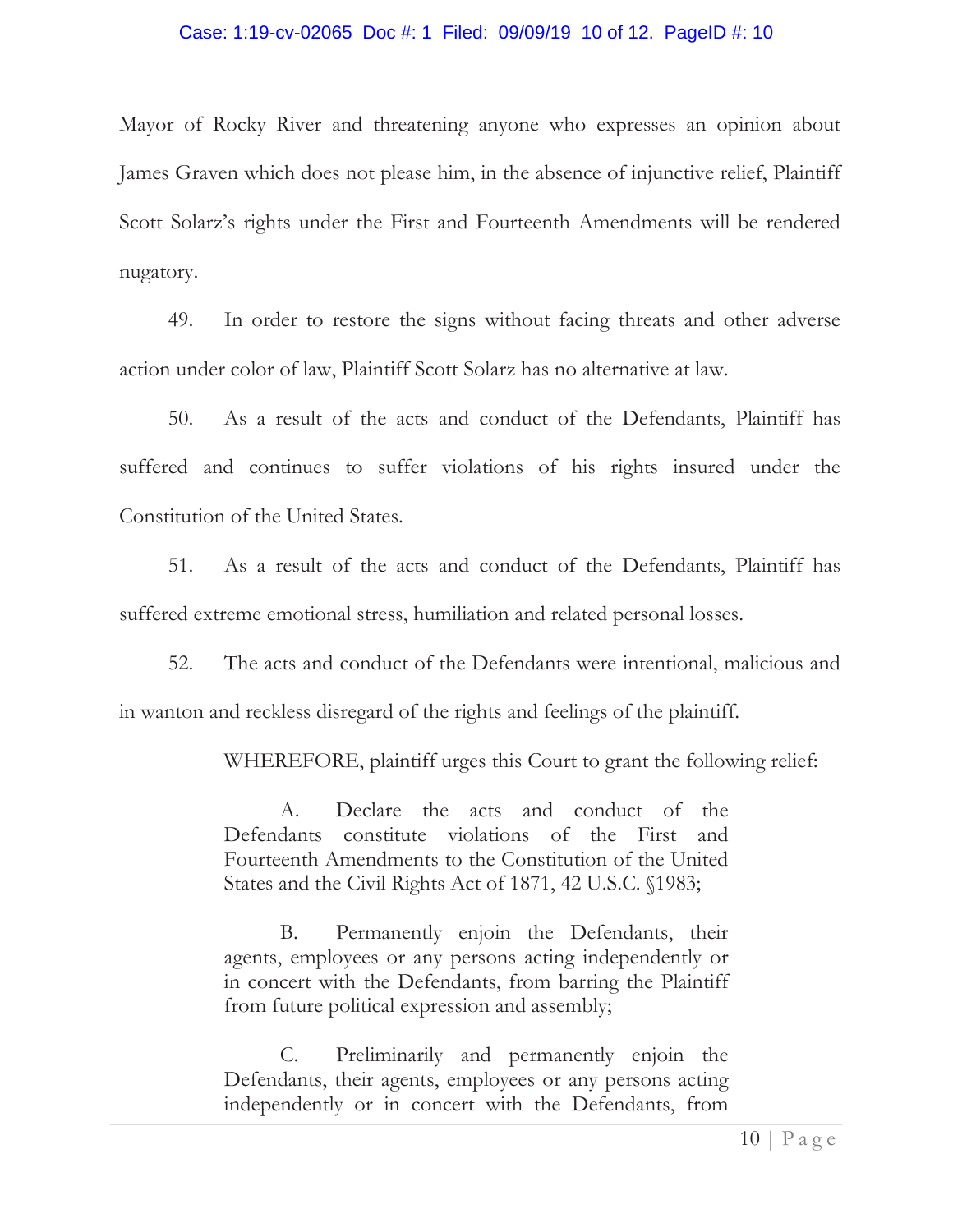#### Case: 1:19-cv-02065 Doc #: 1 Filed: 09/09/19 10 of 12. PageID #: 10

Mayor of Rocky River and threatening anyone who expresses an opinion about James Graven which does not please him, in the absence of injunctive relief, Plaintiff Scott Solarz's rights under the First and Fourteenth Amendments will be rendered nugatory.

49. In order to restore the signs without facing threats and other adverse action under color of law, Plaintiff Scott Solarz has no alternative at law.

50. As a result of the acts and conduct of the Defendants, Plaintiff has suffered and continues to suffer violations of his rights insured under the Constitution of the United States.

51. As a result of the acts and conduct of the Defendants, Plaintiff has suffered extreme emotional stress, humiliation and related personal losses.

52. The acts and conduct of the Defendants were intentional, malicious and in wanton and reckless disregard of the rights and feelings of the plaintiff.

WHEREFORE, plaintiff urges this Court to grant the following relief:

 A. Declare the acts and conduct of the Defendants constitute violations of the First and Fourteenth Amendments to the Constitution of the United States and the Civil Rights Act of 1871, 42 U.S.C. §1983;

 B. Permanently enjoin the Defendants, their agents, employees or any persons acting independently or in concert with the Defendants, from barring the Plaintiff from future political expression and assembly;

 C. Preliminarily and permanently enjoin the Defendants, their agents, employees or any persons acting independently or in concert with the Defendants, from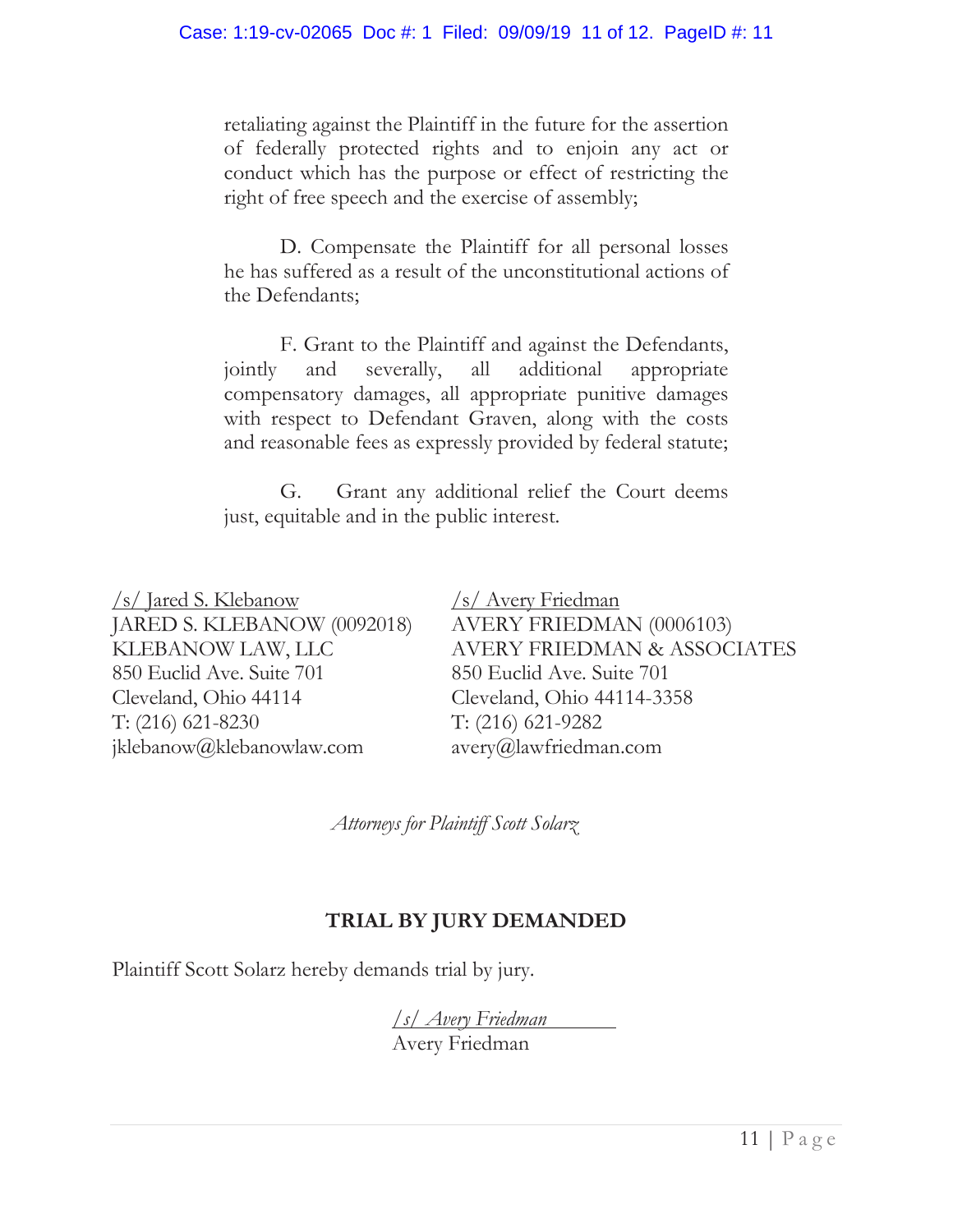retaliating against the Plaintiff in the future for the assertion of federally protected rights and to enjoin any act or conduct which has the purpose or effect of restricting the right of free speech and the exercise of assembly;

D. Compensate the Plaintiff for all personal losses he has suffered as a result of the unconstitutional actions of the Defendants;

F. Grant to the Plaintiff and against the Defendants, jointly and severally, all additional appropriate compensatory damages, all appropriate punitive damages with respect to Defendant Graven, along with the costs and reasonable fees as expressly provided by federal statute;

 G. Grant any additional relief the Court deems just, equitable and in the public interest.

/s/ Jared S. Klebanow JARED S. KLEBANOW (0092018) KLEBANOW LAW, LLC 850 Euclid Ave. Suite 701 Cleveland, Ohio 44114 T: (216) 621-8230 jklebanow@klebanowlaw.com

/s/ Avery Friedman AVERY FRIEDMAN (0006103) AVERY FRIEDMAN & ASSOCIATES 850 Euclid Ave. Suite 701 Cleveland, Ohio 44114-3358 T: (216) 621-9282 avery@lawfriedman.com

*Attorneys for Plaintiff Scott Solarz* 

## **TRIAL BY JURY DEMANDED**

Plaintiff Scott Solarz hereby demands trial by jury.

/*s/ Avery Friedman*  Avery Friedman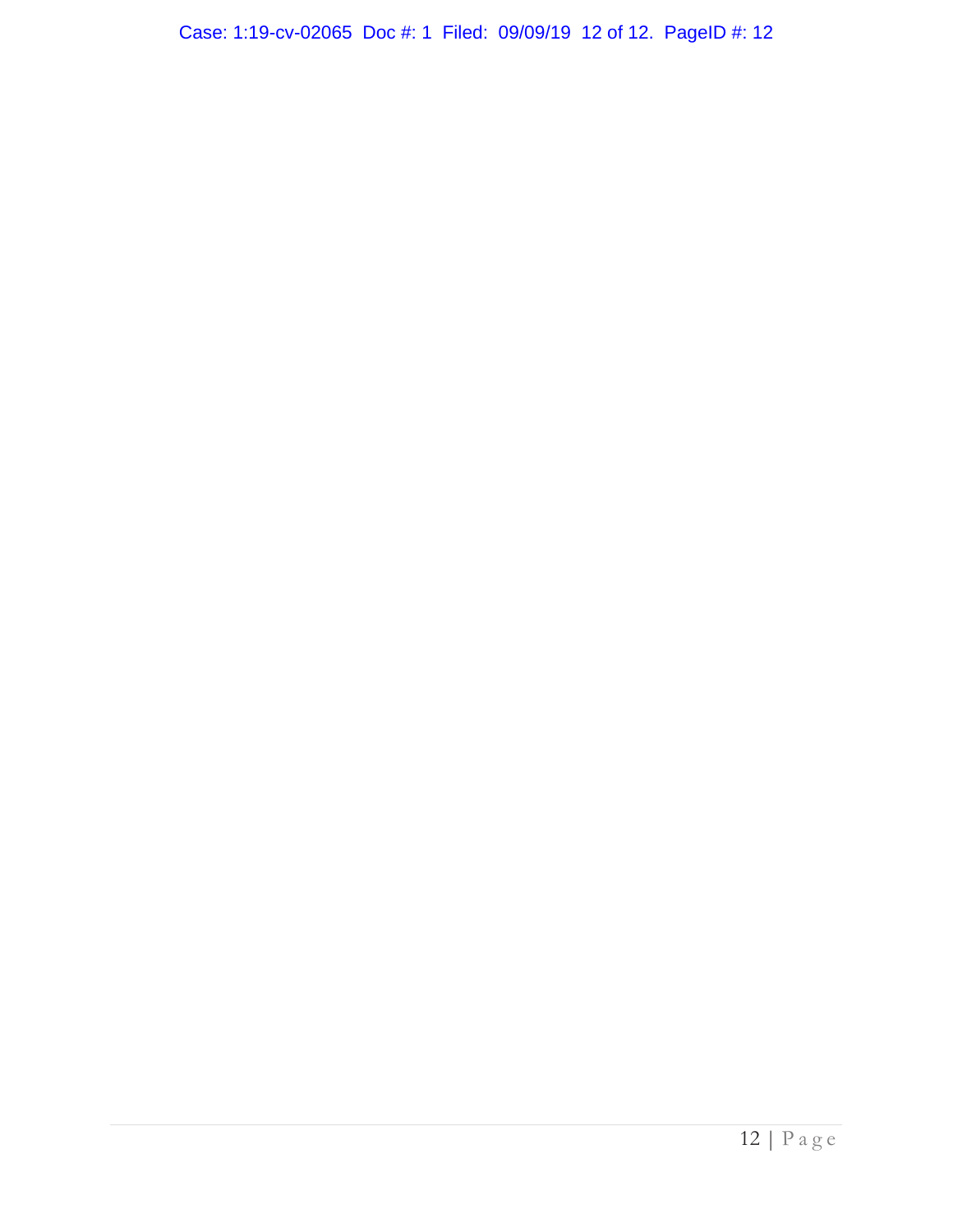Case: 1:19-cv-02065 Doc #: 1 Filed: 09/09/19 12 of 12. PageID #: 12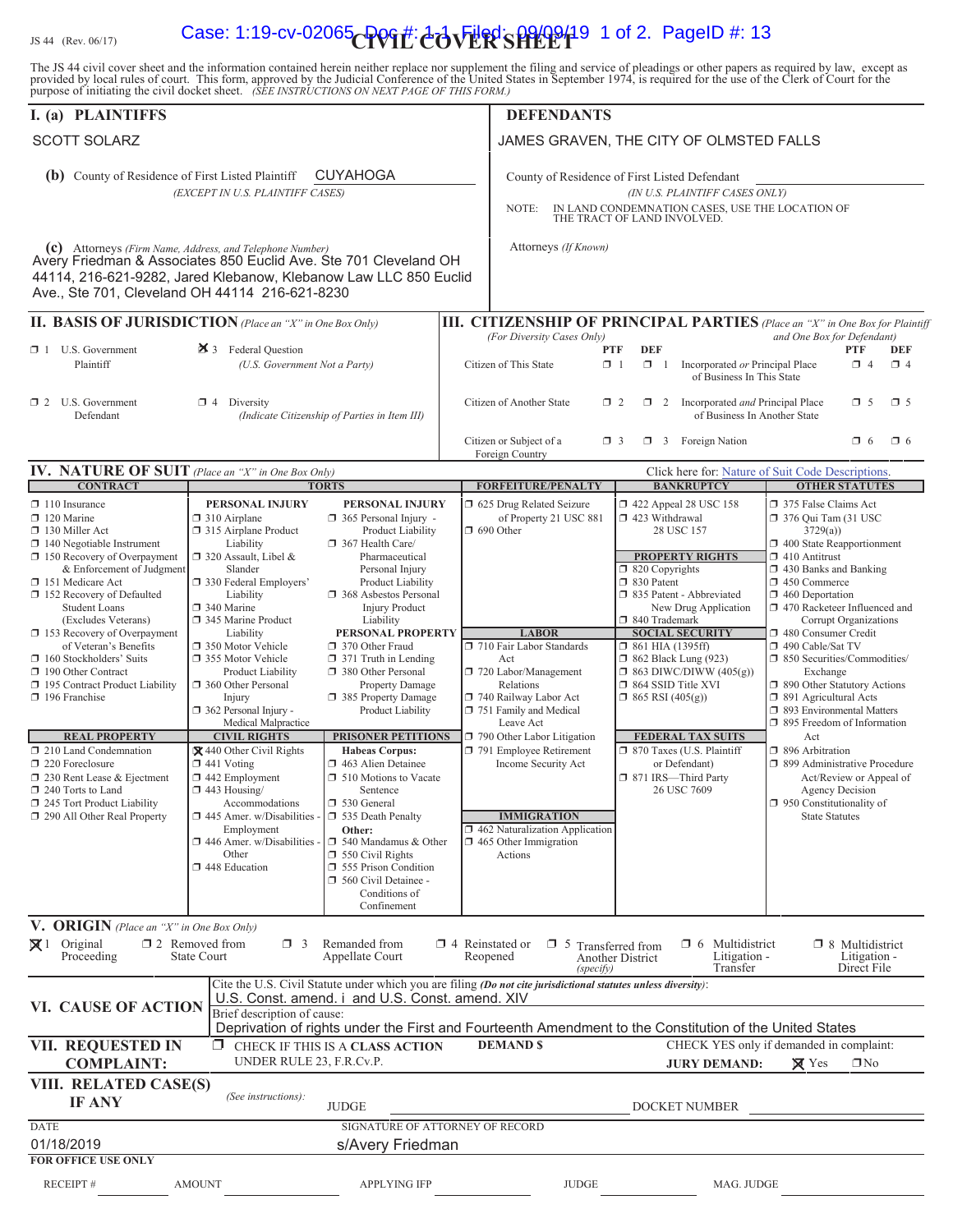# IS 44 (Rev. 06/17) **Case: 1:19-cv-02065 PVIL COVER SHEET** 9 1 of 2. PageID #: 13

The JS 44 civil cover sheet and the information contained herein neither replace nor supplement the filing and service of pleadings or other papers as required by law, except as provided by local rules of court. This form,

| I. (a) PLAINTIFFS                                                                                                                                                                                                                                                                                                                                                                                                                                                                                                                                                                                                                                                            |                                                                                                                                                                                                                                                                                                                                                                                                                                                                                                                                                                                                                                       |                                                                                                                                                                                                                                                                                                                                                                                                                                                                                                                                                                                                                                                                                                                                    |  | <b>DEFENDANTS</b>                                                                                                                                                                                                                                                                                                                                                                                                                                |                                                                                                                                                                                                |                                                                                                                                                                                                                                                                                                                                |                                                                                                                                                                                                                                                                                                                                                                                                                                                                                                                                                                            |                                                                                                     |             |
|------------------------------------------------------------------------------------------------------------------------------------------------------------------------------------------------------------------------------------------------------------------------------------------------------------------------------------------------------------------------------------------------------------------------------------------------------------------------------------------------------------------------------------------------------------------------------------------------------------------------------------------------------------------------------|---------------------------------------------------------------------------------------------------------------------------------------------------------------------------------------------------------------------------------------------------------------------------------------------------------------------------------------------------------------------------------------------------------------------------------------------------------------------------------------------------------------------------------------------------------------------------------------------------------------------------------------|------------------------------------------------------------------------------------------------------------------------------------------------------------------------------------------------------------------------------------------------------------------------------------------------------------------------------------------------------------------------------------------------------------------------------------------------------------------------------------------------------------------------------------------------------------------------------------------------------------------------------------------------------------------------------------------------------------------------------------|--|--------------------------------------------------------------------------------------------------------------------------------------------------------------------------------------------------------------------------------------------------------------------------------------------------------------------------------------------------------------------------------------------------------------------------------------------------|------------------------------------------------------------------------------------------------------------------------------------------------------------------------------------------------|--------------------------------------------------------------------------------------------------------------------------------------------------------------------------------------------------------------------------------------------------------------------------------------------------------------------------------|----------------------------------------------------------------------------------------------------------------------------------------------------------------------------------------------------------------------------------------------------------------------------------------------------------------------------------------------------------------------------------------------------------------------------------------------------------------------------------------------------------------------------------------------------------------------------|-----------------------------------------------------------------------------------------------------|-------------|
| <b>SCOTT SOLARZ</b>                                                                                                                                                                                                                                                                                                                                                                                                                                                                                                                                                                                                                                                          |                                                                                                                                                                                                                                                                                                                                                                                                                                                                                                                                                                                                                                       |                                                                                                                                                                                                                                                                                                                                                                                                                                                                                                                                                                                                                                                                                                                                    |  | JAMES GRAVEN, THE CITY OF OLMSTED FALLS                                                                                                                                                                                                                                                                                                                                                                                                          |                                                                                                                                                                                                |                                                                                                                                                                                                                                                                                                                                |                                                                                                                                                                                                                                                                                                                                                                                                                                                                                                                                                                            |                                                                                                     |             |
| (b) County of Residence of First Listed Plaintiff<br><b>CUYAHOGA</b><br>(EXCEPT IN U.S. PLAINTIFF CASES)                                                                                                                                                                                                                                                                                                                                                                                                                                                                                                                                                                     |                                                                                                                                                                                                                                                                                                                                                                                                                                                                                                                                                                                                                                       |                                                                                                                                                                                                                                                                                                                                                                                                                                                                                                                                                                                                                                                                                                                                    |  | County of Residence of First Listed Defendant<br>(IN U.S. PLAINTIFF CASES ONLY)<br>IN LAND CONDEMNATION CASES, USE THE LOCATION OF<br>NOTE:<br>THE TRACT OF LAND INVOLVED.                                                                                                                                                                                                                                                                       |                                                                                                                                                                                                |                                                                                                                                                                                                                                                                                                                                |                                                                                                                                                                                                                                                                                                                                                                                                                                                                                                                                                                            |                                                                                                     |             |
| (c) Attorneys (Firm Name, Address, and Telephone Number)<br>Avery Friedman & Associates 850 Euclid Ave. Ste 701 Cleveland OH<br>44114, 216-621-9282, Jared Klebanow, Klebanow Law LLC 850 Euclid<br>Ave., Ste 701, Cleveland OH 44114 216-621-8230                                                                                                                                                                                                                                                                                                                                                                                                                           |                                                                                                                                                                                                                                                                                                                                                                                                                                                                                                                                                                                                                                       |                                                                                                                                                                                                                                                                                                                                                                                                                                                                                                                                                                                                                                                                                                                                    |  | Attorneys (If Known)                                                                                                                                                                                                                                                                                                                                                                                                                             |                                                                                                                                                                                                |                                                                                                                                                                                                                                                                                                                                |                                                                                                                                                                                                                                                                                                                                                                                                                                                                                                                                                                            |                                                                                                     |             |
| II. BASIS OF JURISDICTION (Place an "X" in One Box Only)                                                                                                                                                                                                                                                                                                                                                                                                                                                                                                                                                                                                                     |                                                                                                                                                                                                                                                                                                                                                                                                                                                                                                                                                                                                                                       |                                                                                                                                                                                                                                                                                                                                                                                                                                                                                                                                                                                                                                                                                                                                    |  | <b>III. CITIZENSHIP OF PRINCIPAL PARTIES</b> (Place an "X" in One Box for Plaintiff                                                                                                                                                                                                                                                                                                                                                              |                                                                                                                                                                                                |                                                                                                                                                                                                                                                                                                                                |                                                                                                                                                                                                                                                                                                                                                                                                                                                                                                                                                                            |                                                                                                     |             |
| $\Box$ 1 U.S. Government<br>Plaintiff                                                                                                                                                                                                                                                                                                                                                                                                                                                                                                                                                                                                                                        | 25 3 Federal Question<br>(U.S. Government Not a Party)                                                                                                                                                                                                                                                                                                                                                                                                                                                                                                                                                                                |                                                                                                                                                                                                                                                                                                                                                                                                                                                                                                                                                                                                                                                                                                                                    |  | (For Diversity Cases Only)<br>and One Box for Defendant)<br><b>DEF</b><br><b>PTF</b><br>PTF<br>DEF<br>Incorporated or Principal Place<br>Citizen of This State<br>$\Box$ 1<br>$\Box$ 1<br>$\Box$ 4<br>$\Box$ 4<br>of Business In This State                                                                                                                                                                                                      |                                                                                                                                                                                                |                                                                                                                                                                                                                                                                                                                                |                                                                                                                                                                                                                                                                                                                                                                                                                                                                                                                                                                            |                                                                                                     |             |
| $\Box$ 2 U.S. Government<br>Defendant                                                                                                                                                                                                                                                                                                                                                                                                                                                                                                                                                                                                                                        | $\Box$ 4 Diversity                                                                                                                                                                                                                                                                                                                                                                                                                                                                                                                                                                                                                    | (Indicate Citizenship of Parties in Item III)                                                                                                                                                                                                                                                                                                                                                                                                                                                                                                                                                                                                                                                                                      |  | Citizen of Another State                                                                                                                                                                                                                                                                                                                                                                                                                         | $\Box$ 2                                                                                                                                                                                       | 1 2 Incorporated and Principal Place<br>of Business In Another State                                                                                                                                                                                                                                                           |                                                                                                                                                                                                                                                                                                                                                                                                                                                                                                                                                                            | $\Box$ 5                                                                                            | $\square$ 5 |
|                                                                                                                                                                                                                                                                                                                                                                                                                                                                                                                                                                                                                                                                              |                                                                                                                                                                                                                                                                                                                                                                                                                                                                                                                                                                                                                                       |                                                                                                                                                                                                                                                                                                                                                                                                                                                                                                                                                                                                                                                                                                                                    |  | Citizen or Subject of a<br>Foreign Country                                                                                                                                                                                                                                                                                                                                                                                                       | $\Box$ 3                                                                                                                                                                                       | $\Box$ 3 Foreign Nation                                                                                                                                                                                                                                                                                                        |                                                                                                                                                                                                                                                                                                                                                                                                                                                                                                                                                                            | $\Box$ 6                                                                                            | $\Box$ 6    |
| IV. NATURE OF SUIT (Place an "X" in One Box Only)                                                                                                                                                                                                                                                                                                                                                                                                                                                                                                                                                                                                                            |                                                                                                                                                                                                                                                                                                                                                                                                                                                                                                                                                                                                                                       |                                                                                                                                                                                                                                                                                                                                                                                                                                                                                                                                                                                                                                                                                                                                    |  |                                                                                                                                                                                                                                                                                                                                                                                                                                                  |                                                                                                                                                                                                | Click here for: Nature of Suit Code Descriptions.                                                                                                                                                                                                                                                                              |                                                                                                                                                                                                                                                                                                                                                                                                                                                                                                                                                                            |                                                                                                     |             |
| <b>CONTRACT</b><br>$\Box$ 110 Insurance<br>$\Box$ 120 Marine<br>$\Box$ 130 Miller Act<br>$\Box$ 140 Negotiable Instrument<br>$\Box$ 150 Recovery of Overpayment<br>& Enforcement of Judgment<br>□ 151 Medicare Act<br>□ 152 Recovery of Defaulted<br><b>Student Loans</b><br>(Excludes Veterans)<br>$\Box$ 153 Recovery of Overpayment<br>of Veteran's Benefits<br>160 Stockholders' Suits<br>190 Other Contract<br>195 Contract Product Liability<br>$\Box$ 196 Franchise<br><b>REAL PROPERTY</b><br>$\Box$ 210 Land Condemnation<br>$\Box$ 220 Foreclosure<br>230 Rent Lease & Ejectment<br>240 Torts to Land<br>245 Tort Product Liability<br>290 All Other Real Property | PERSONAL INJURY<br>$\Box$ 310 Airplane<br>315 Airplane Product<br>Liability<br>$\Box$ 320 Assault, Libel &<br>Slander<br>□ 330 Federal Employers'<br>Liability<br>□ 340 Marine<br>345 Marine Product<br>Liability<br>7 350 Motor Vehicle<br>□ 355 Motor Vehicle<br>Product Liability<br><b>360 Other Personal</b><br>Injury<br>362 Personal Injury -<br>Medical Malpractice<br><b>CIVIL RIGHTS</b><br>X 440 Other Civil Rights<br>$\Box$ 441 Voting<br>$\Box$ 442 Employment<br>$\Box$ 443 Housing/<br>Accommodations<br>$\Box$ 445 Amer. w/Disabilities -<br>Employment<br>$\Box$ 446 Amer. w/Disabilities<br>Other<br>448 Education | <b>TORTS</b><br>PERSONAL INJURY<br>$\Box$ 365 Personal Injury -<br>Product Liability<br>367 Health Care/<br>Pharmaceutical<br>Personal Injury<br>Product Liability<br>368 Asbestos Personal<br><b>Injury Product</b><br>Liability<br>PERSONAL PROPERTY<br>370 Other Fraud<br>$\Box$ 371 Truth in Lending<br>380 Other Personal<br><b>Property Damage</b><br>385 Property Damage<br>Product Liability<br><b>PRISONER PETITIONS</b><br><b>Habeas Corpus:</b><br>$\Box$ 463 Alien Detainee<br>$\Box$ 510 Motions to Vacate<br>Sentence<br>$\Box$ 530 General<br>535 Death Penalty<br>Other:<br>$\Box$ 540 Mandamus & Other<br>$\Box$ 550 Civil Rights<br>555 Prison Condition<br>560 Civil Detainee -<br>Conditions of<br>Confinement |  | <b>FORFEITURE/PENALTY</b><br>5 625 Drug Related Seizure<br>of Property 21 USC 881<br>$\Box$ 690 Other<br><b>LABOR</b><br>710 Fair Labor Standards<br>Act<br>720 Labor/Management<br>Relations<br>740 Railway Labor Act<br>751 Family and Medical<br>Leave Act<br>790 Other Labor Litigation<br>791 Employee Retirement<br>Income Security Act<br><b>IMMIGRATION</b><br>462 Naturalization Application<br>$\Box$ 465 Other Immigration<br>Actions | □ 423 Withdrawal<br>$\Box$ 820 Copyrights<br>$\Box$ 830 Patent<br>□ 840 Trademark<br>$\Box$ 861 HIA (1395ff)<br>$\Box$ 862 Black Lung (923)<br>□ 864 SSID Title XVI<br>$\Box$ 865 RSI (405(g)) | <b>BANKRUPTCY</b><br>1 422 Appeal 28 USC 158<br>28 USC 157<br><b>PROPERTY RIGHTS</b><br>7 835 Patent - Abbreviated<br>New Drug Application<br><b>SOCIAL SECURITY</b><br>$\Box$ 863 DIWC/DIWW (405(g))<br><b>FEDERAL TAX SUITS</b><br>$\Box$ 870 Taxes (U.S. Plaintiff<br>or Defendant)<br>□ 871 IRS-Third Party<br>26 USC 7609 | 375 False Claims Act<br>$\Box$ 376 Qui Tam (31 USC<br>3729(a)<br>1 400 State Reapportionment<br>$\Box$ 410 Antitrust<br>1 430 Banks and Banking<br>□ 450 Commerce<br>$\Box$ 460 Deportation<br>1 470 Racketeer Influenced and<br>480 Consumer Credit<br>490 Cable/Sat TV<br>□ 850 Securities/Commodities/<br>Exchange<br>□ 890 Other Statutory Actions<br>□ 891 Agricultural Acts<br>1 893 Environmental Matters<br>□ 895 Freedom of Information<br>Act<br>□ 896 Arbitration<br>□ 899 Administrative Procedure<br>$\Box$ 950 Constitutionality of<br><b>State Statutes</b> | <b>OTHER STATUTES</b><br>Corrupt Organizations<br>Act/Review or Appeal of<br><b>Agency Decision</b> |             |
| V. ORIGIN (Place an "X" in One Box Only)                                                                                                                                                                                                                                                                                                                                                                                                                                                                                                                                                                                                                                     |                                                                                                                                                                                                                                                                                                                                                                                                                                                                                                                                                                                                                                       |                                                                                                                                                                                                                                                                                                                                                                                                                                                                                                                                                                                                                                                                                                                                    |  |                                                                                                                                                                                                                                                                                                                                                                                                                                                  |                                                                                                                                                                                                |                                                                                                                                                                                                                                                                                                                                |                                                                                                                                                                                                                                                                                                                                                                                                                                                                                                                                                                            |                                                                                                     |             |
| $\boxtimes$ 1 Original<br>Proceeding                                                                                                                                                                                                                                                                                                                                                                                                                                                                                                                                                                                                                                         | $\Box$ 2 Removed from<br>$\Box$ 3<br>State Court                                                                                                                                                                                                                                                                                                                                                                                                                                                                                                                                                                                      | Remanded from<br>Appellate Court                                                                                                                                                                                                                                                                                                                                                                                                                                                                                                                                                                                                                                                                                                   |  | $\Box$ 4 Reinstated or<br>$\Box$ 5 Transferred from<br>Reopened<br>(specify)                                                                                                                                                                                                                                                                                                                                                                     | <b>Another District</b>                                                                                                                                                                        | $\Box$ 6 Multidistrict<br>Litigation -<br>Transfer                                                                                                                                                                                                                                                                             |                                                                                                                                                                                                                                                                                                                                                                                                                                                                                                                                                                            | $\Box$ 8 Multidistrict<br>Litigation -<br>Direct File                                               |             |
| Cite the U.S. Civil Statute under which you are filing (Do not cite jurisdictional statutes unless diversity):<br>U.S. Const. amend. i and U.S. Const. amend. XIV<br>VI. CAUSE OF ACTION<br>Brief description of cause:<br>Deprivation of rights under the First and Fourteenth Amendment to the Constitution of the United States                                                                                                                                                                                                                                                                                                                                           |                                                                                                                                                                                                                                                                                                                                                                                                                                                                                                                                                                                                                                       |                                                                                                                                                                                                                                                                                                                                                                                                                                                                                                                                                                                                                                                                                                                                    |  |                                                                                                                                                                                                                                                                                                                                                                                                                                                  |                                                                                                                                                                                                |                                                                                                                                                                                                                                                                                                                                |                                                                                                                                                                                                                                                                                                                                                                                                                                                                                                                                                                            |                                                                                                     |             |
| <b>COMPLAINT:</b>                                                                                                                                                                                                                                                                                                                                                                                                                                                                                                                                                                                                                                                            | VII. REQUESTED IN<br><b>DEMAND \$</b><br>CHECK YES only if demanded in complaint:<br>σ<br>CHECK IF THIS IS A CLASS ACTION<br>UNDER RULE 23, F.R.Cv.P.<br><b>JURY DEMAND:</b><br>$\n  INo\n$<br>$\boxtimes$ Yes                                                                                                                                                                                                                                                                                                                                                                                                                        |                                                                                                                                                                                                                                                                                                                                                                                                                                                                                                                                                                                                                                                                                                                                    |  |                                                                                                                                                                                                                                                                                                                                                                                                                                                  |                                                                                                                                                                                                |                                                                                                                                                                                                                                                                                                                                |                                                                                                                                                                                                                                                                                                                                                                                                                                                                                                                                                                            |                                                                                                     |             |
| VIII. RELATED CASE(S)<br><b>IF ANY</b>                                                                                                                                                                                                                                                                                                                                                                                                                                                                                                                                                                                                                                       | (See instructions):                                                                                                                                                                                                                                                                                                                                                                                                                                                                                                                                                                                                                   | <b>JUDGE</b>                                                                                                                                                                                                                                                                                                                                                                                                                                                                                                                                                                                                                                                                                                                       |  |                                                                                                                                                                                                                                                                                                                                                                                                                                                  |                                                                                                                                                                                                | DOCKET NUMBER                                                                                                                                                                                                                                                                                                                  |                                                                                                                                                                                                                                                                                                                                                                                                                                                                                                                                                                            |                                                                                                     |             |
| <b>DATE</b><br>01/18/2019                                                                                                                                                                                                                                                                                                                                                                                                                                                                                                                                                                                                                                                    |                                                                                                                                                                                                                                                                                                                                                                                                                                                                                                                                                                                                                                       | SIGNATURE OF ATTORNEY OF RECORD<br>s/Avery Friedman                                                                                                                                                                                                                                                                                                                                                                                                                                                                                                                                                                                                                                                                                |  |                                                                                                                                                                                                                                                                                                                                                                                                                                                  |                                                                                                                                                                                                |                                                                                                                                                                                                                                                                                                                                |                                                                                                                                                                                                                                                                                                                                                                                                                                                                                                                                                                            |                                                                                                     |             |
| <b>FOR OFFICE USE ONLY</b><br><b>RECEIPT#</b>                                                                                                                                                                                                                                                                                                                                                                                                                                                                                                                                                                                                                                | <b>AMOUNT</b>                                                                                                                                                                                                                                                                                                                                                                                                                                                                                                                                                                                                                         | <b>APPLYING IFP</b>                                                                                                                                                                                                                                                                                                                                                                                                                                                                                                                                                                                                                                                                                                                |  | <b>JUDGE</b>                                                                                                                                                                                                                                                                                                                                                                                                                                     |                                                                                                                                                                                                | MAG. JUDGE                                                                                                                                                                                                                                                                                                                     |                                                                                                                                                                                                                                                                                                                                                                                                                                                                                                                                                                            |                                                                                                     |             |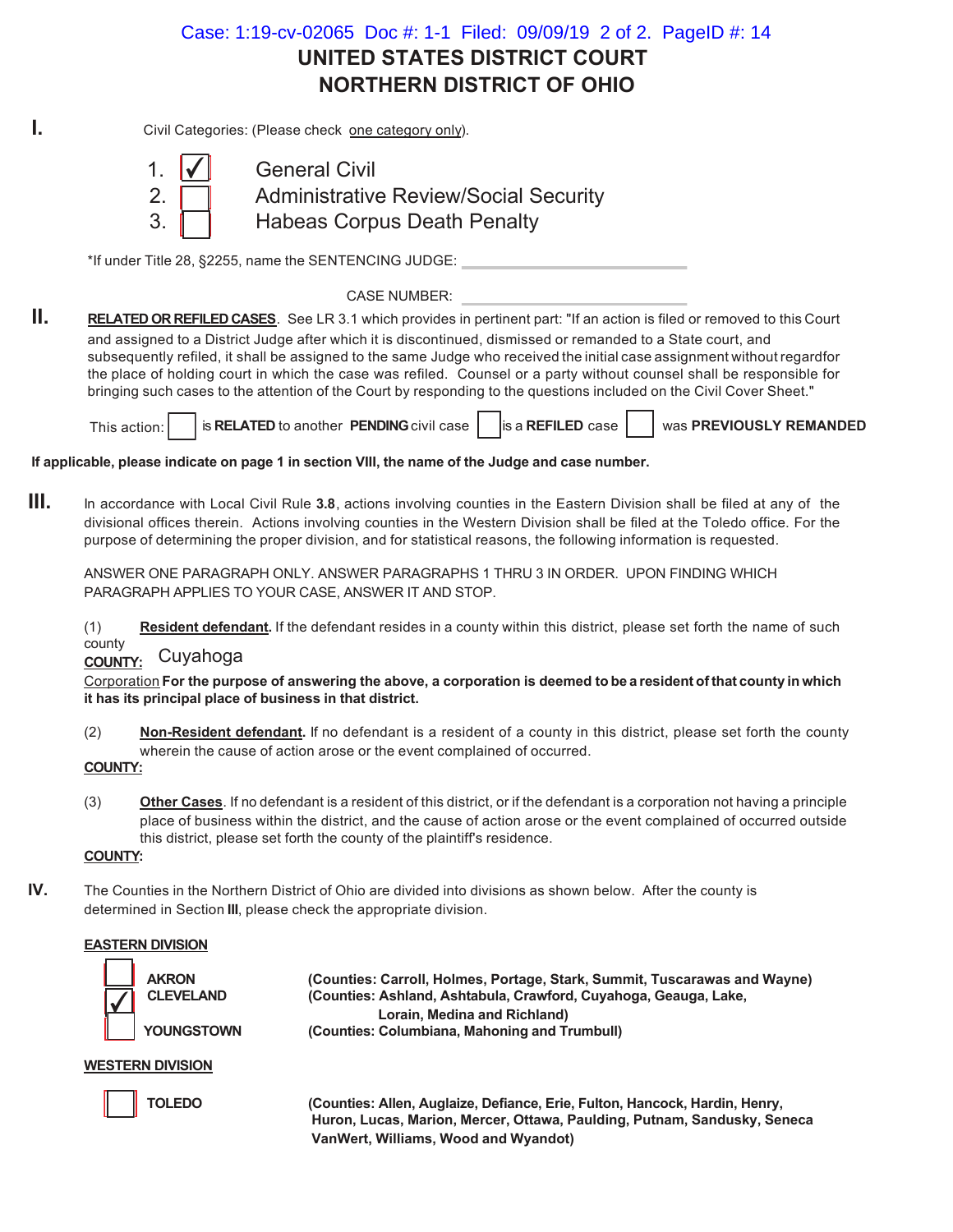### **UNITED STATES DISTRICT COURT NORTHERN DISTRICT OF OHIO** Case: 1:19-cv-02065 Doc #: 1-1 Filed: 09/09/19 2 of 2. PageID #: 14

**I.** Civil Categories: (Please check one category only).



1. I<del>V</del> General Civil 2. **Administrative Review/Social Security** 3. **Habeas Corpus Death Penalty** 

\*If under Title 28, §2255, name the SENTENCING JUDGE:

CASE NUMBER:

**II. RELATED OR REFILED CASES**. See LR 3.1 which provides in pertinent part: "If an action is filed or removed to this Court and assigned to a District Judge after which it is discontinued, dismissed or remanded to a State court, and subsequently refiled, it shall be assigned to the same Judge who received the initial case assignment without regardfor the place of holding court in which the case was refiled. Counsel or a party without counsel shall be responsible for bringing such cases to the attention of the Court by responding to the questions included on the Civil Cover Sheet."

This action: **LAU** is **RELATED** to another **PENDING** civil case **LAU** is a **REFILED** case was PREVIOUSLY REMANDED

**If applicable, please indicate on page 1 in section VIII, the name of the Judge and case number.**

**III.** In accordance with Local Civil Rule **3.8**, actions involving counties in the Eastern Division shall be filed at any of the divisional offices therein. Actions involving counties in the Western Division shall be filed at the Toledo office. For the purpose of determining the proper division, and for statistical reasons, the following information is requested.

ANSWER ONE PARAGRAPH ONLY. ANSWER PARAGRAPHS 1 THRU 3 IN ORDER. UPON FINDING WHICH PARAGRAPH APPLIES TO YOUR CASE, ANSWER IT AND STOP.

(1) **Resident defendant.** If the defendant resides in a county within this district, please set forth the name of such

county **COUNTY:** Cuyahoga

Corporation **For the purpose of answering the above, a corporation is deemed to be a resident of that county in which it has its principal place of business in that district.**

- (2) **Non-Resident defendant.** If no defendant is a resident of a county in this district, please set forth the county wherein the cause of action arose or the event complained of occurred.
- **COUNTY:**
- (3) **Other Cases**. If no defendant is a resident of this district, or if the defendant is a corporation not having a principle place of business within the district, and the cause of action arose or the event complained of occurred outside this district, please set forth the county of the plaintiff's residence.

#### **COUNTY:**

**IV.** The Counties in the Northern District of Ohio are divided into divisions as shown below. After the county is determined in Section **III**, please check the appropriate division.

#### **EASTERN DIVISION**

| <b>AKRON</b><br><b>CLEVELAND</b> |
|----------------------------------|
| <b>YOUNGSTOV</b>                 |

 **(Counties: Carroll, Holmes, Portage, Stark, Summit, Tuscarawas and Wayne) (Counties: Ashland, Ashtabula, Crawford, Cuyahoga, Geauga, Lake, Lorain, Medina and Richland) VN (Counties: Columbiana, Mahoning and Trumbull)** 

#### **WESTERN DIVISION**



 **TOLEDO (Counties: Allen, Auglaize, Defiance, Erie, Fulton, Hancock, Hardin, Henry, Huron, Lucas, Marion, Mercer, Ottawa, Paulding, Putnam, Sandusky, Seneca VanWert, Williams, Wood and Wyandot)**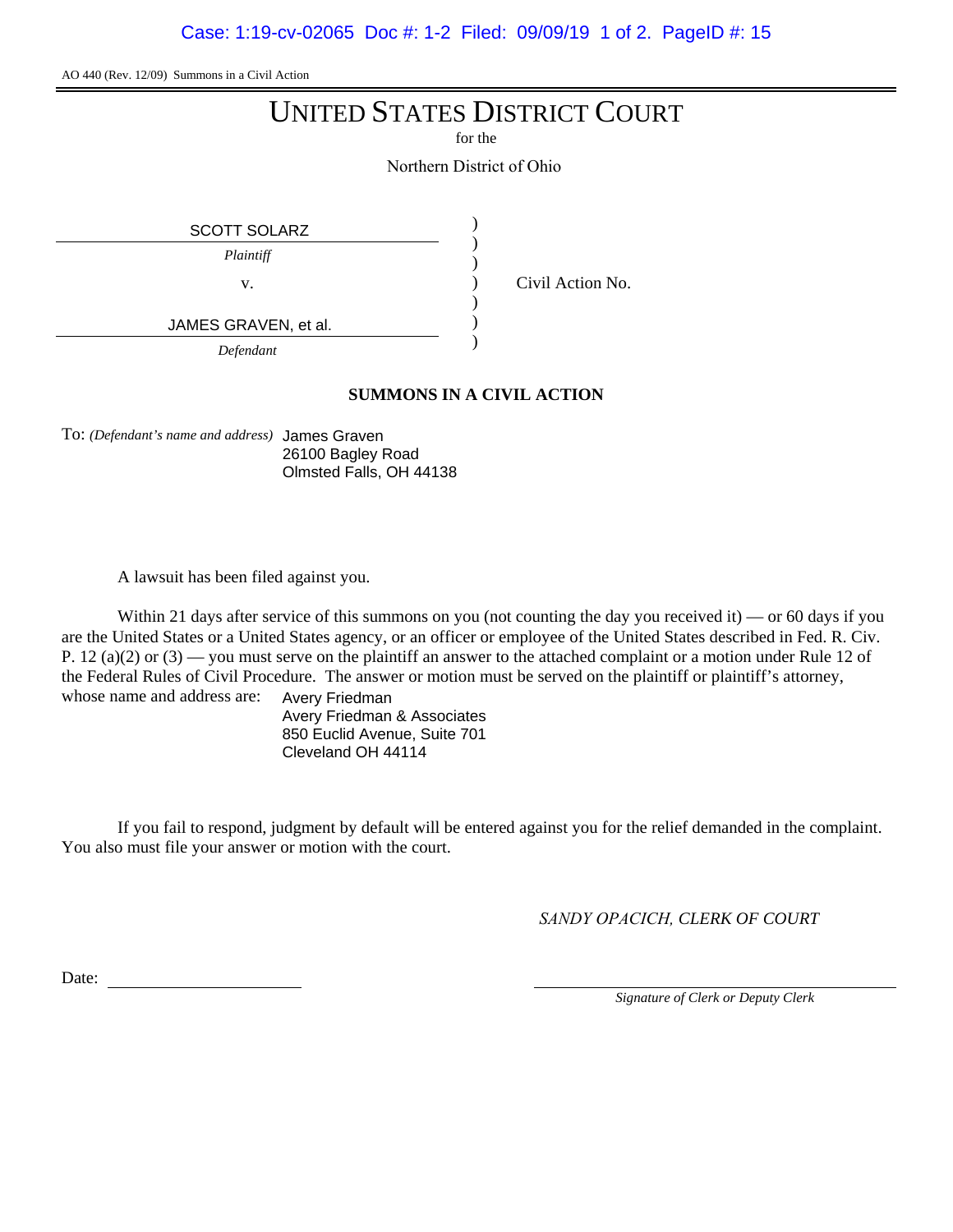Case: 1:19-cv-02065 Doc #: 1-2 Filed: 09/09/19 1 of 2. PageID #: 15

AO 440 (Rev. 12/09) Summons in a Civil Action

# UNITED STATES DISTRICT COURT

for the

Northern District of Ohio

| <b>SCOTT SOLARZ</b>  |  |
|----------------------|--|
| Plaintiff            |  |
| V.                   |  |
| JAMES GRAVEN, et al. |  |
| Defendant            |  |

Civil Action No.

**SUMMONS IN A CIVIL ACTION**

To: *(Defendant's name and address)* James Graven 26100 Bagley Road Olmsted Falls, OH 44138

A lawsuit has been filed against you.

Within 21 days after service of this summons on you (not counting the day you received it) — or 60 days if you are the United States or a United States agency, or an officer or employee of the United States described in Fed. R. Civ. P. 12 (a)(2) or  $(3)$  — you must serve on the plaintiff an answer to the attached complaint or a motion under Rule 12 of the Federal Rules of Civil Procedure. The answer or motion must be served on the plaintiff or plaintiff's attorney, whose name and address are: Avery Friedman

Avery Friedman & Associates 850 Euclid Avenue, Suite 701 Cleveland OH 44114

If you fail to respond, judgment by default will be entered against you for the relief demanded in the complaint. You also must file your answer or motion with the court.

*SANDY OPACICH, CLERK OF COURT*

Date:

*Signature of Clerk or Deputy Clerk*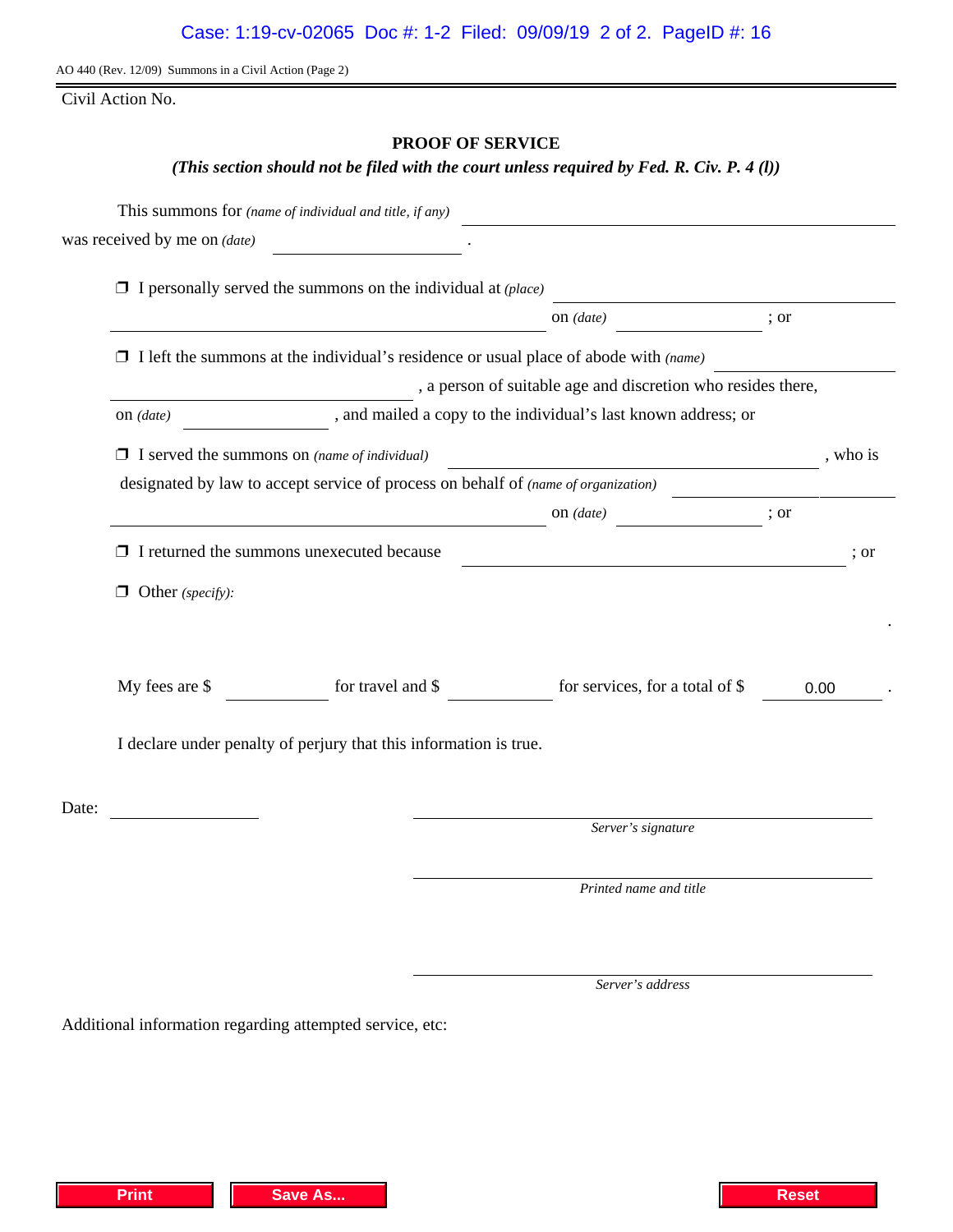AO 440 (Rev. 12/09) Summons in a Civil Action (Page 2)

Civil Action No.

#### **PROOF OF SERVICE**

### *(This section should not be filed with the court unless required by Fed. R. Civ. P. 4 (l))*

|       |                                                                                             | This summons for (name of individual and title, if any)             |                                                                                                                                                                                                                                                                                                                                                                                                                                                            |      |  |  |  |
|-------|---------------------------------------------------------------------------------------------|---------------------------------------------------------------------|------------------------------------------------------------------------------------------------------------------------------------------------------------------------------------------------------------------------------------------------------------------------------------------------------------------------------------------------------------------------------------------------------------------------------------------------------------|------|--|--|--|
|       | was received by me on (date)                                                                |                                                                     |                                                                                                                                                                                                                                                                                                                                                                                                                                                            |      |  |  |  |
|       |                                                                                             | $\Box$ I personally served the summons on the individual at (place) |                                                                                                                                                                                                                                                                                                                                                                                                                                                            |      |  |  |  |
|       |                                                                                             |                                                                     | on $(data)$                                                                                                                                                                                                                                                                                                                                                                                                                                                | ; or |  |  |  |
|       | $\Box$ I left the summons at the individual's residence or usual place of abode with (name) |                                                                     |                                                                                                                                                                                                                                                                                                                                                                                                                                                            |      |  |  |  |
|       |                                                                                             |                                                                     | , a person of suitable age and discretion who resides there,                                                                                                                                                                                                                                                                                                                                                                                               |      |  |  |  |
|       | $on$ (date)                                                                                 |                                                                     | , and mailed a copy to the individual's last known address; or                                                                                                                                                                                                                                                                                                                                                                                             |      |  |  |  |
|       | $\Box$ I served the summons on (name of individual)<br>, who is                             |                                                                     |                                                                                                                                                                                                                                                                                                                                                                                                                                                            |      |  |  |  |
|       |                                                                                             |                                                                     | designated by law to accept service of process on behalf of (name of organization)                                                                                                                                                                                                                                                                                                                                                                         |      |  |  |  |
|       |                                                                                             |                                                                     | $\frac{1}{\sqrt{1-\frac{1}{2}}}\left\{ \cos \left( \frac{1}{2} \cos \left( \frac{1}{2} \cos \left( \frac{1}{2} \cos \left( \frac{1}{2} \cos \left( \frac{1}{2} \cos \left( \frac{1}{2} \cos \left( \frac{1}{2} \cos \left( \frac{1}{2} \cos \left( \frac{1}{2} \cos \left( \frac{1}{2} \cos \left( \frac{1}{2} \cos \left( \frac{1}{2} \cos \left( \frac{1}{2} \cos \left( \frac{1}{2} \cos \left( \frac{1}{2} \cos \left( \frac{1}{2} \cos \left( \frac{$ | ; or |  |  |  |
|       | $\Box$ I returned the summons unexecuted because                                            | ; or<br><u> 1989 - Johann Stoff, Amerikaansk politiker (</u>        |                                                                                                                                                                                                                                                                                                                                                                                                                                                            |      |  |  |  |
|       | $\Box$ Other (specify):                                                                     |                                                                     |                                                                                                                                                                                                                                                                                                                                                                                                                                                            |      |  |  |  |
|       |                                                                                             |                                                                     |                                                                                                                                                                                                                                                                                                                                                                                                                                                            |      |  |  |  |
|       | My fees are \$                                                                              |                                                                     | for travel and $\$\$ for services, for a total of $\$\$                                                                                                                                                                                                                                                                                                                                                                                                    | 0.00 |  |  |  |
|       | I declare under penalty of perjury that this information is true.                           |                                                                     |                                                                                                                                                                                                                                                                                                                                                                                                                                                            |      |  |  |  |
| Date: |                                                                                             |                                                                     |                                                                                                                                                                                                                                                                                                                                                                                                                                                            |      |  |  |  |
|       |                                                                                             |                                                                     | Server's signature                                                                                                                                                                                                                                                                                                                                                                                                                                         |      |  |  |  |
|       |                                                                                             |                                                                     | Printed name and title                                                                                                                                                                                                                                                                                                                                                                                                                                     |      |  |  |  |
|       |                                                                                             |                                                                     |                                                                                                                                                                                                                                                                                                                                                                                                                                                            |      |  |  |  |

*Server's address*

Additional information regarding attempted service, etc: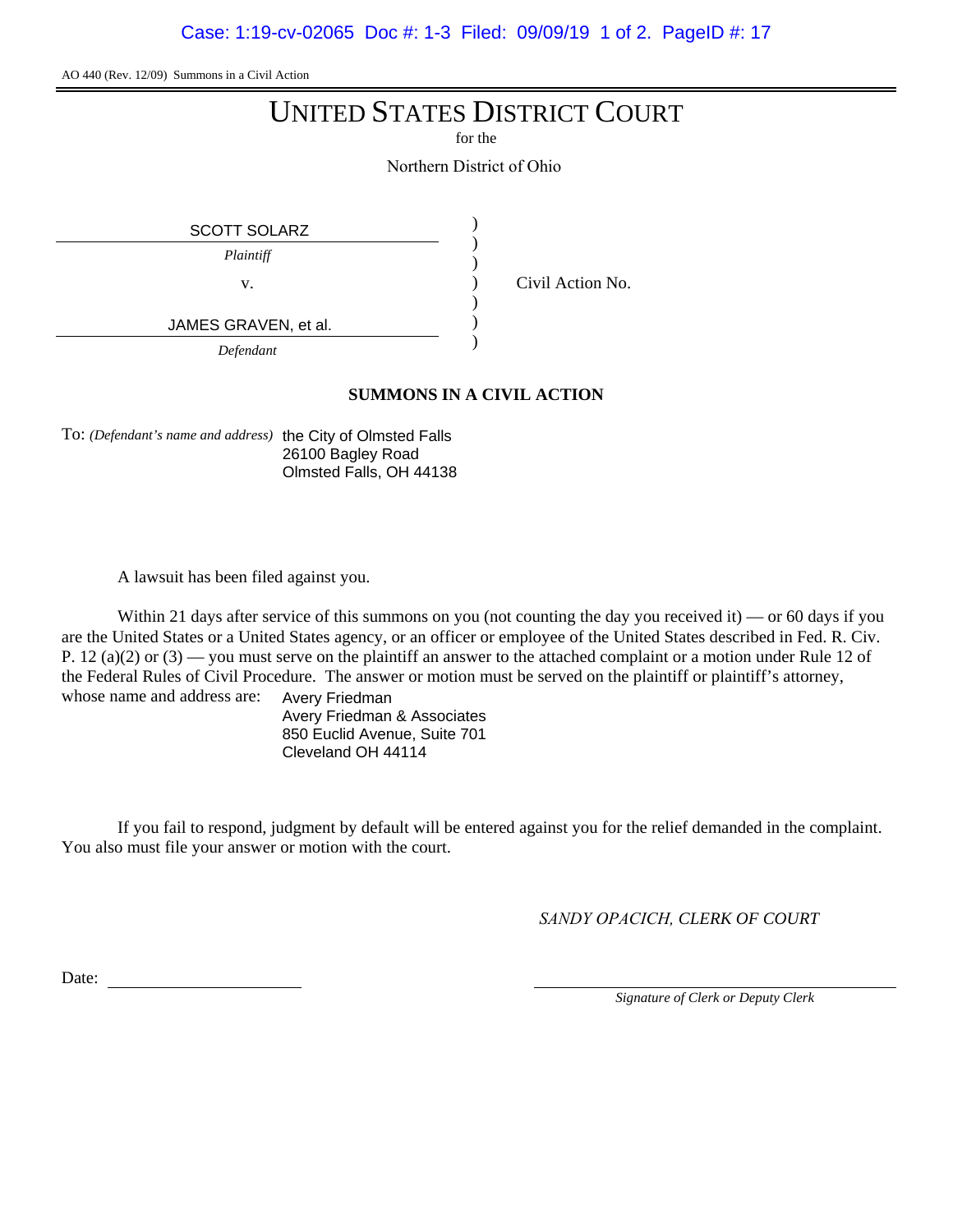Case: 1:19-cv-02065 Doc #: 1-3 Filed: 09/09/19 1 of 2. PageID #: 17

AO 440 (Rev. 12/09) Summons in a Civil Action

# UNITED STATES DISTRICT COURT

for the

Northern District of Ohio

| <b>SCOTT SOLARZ</b>  |  |
|----------------------|--|
| Plaintiff            |  |
| V.                   |  |
| JAMES GRAVEN, et al. |  |
| Defendant            |  |

Civil Action No.

**SUMMONS IN A CIVIL ACTION**

To: *(Defendant's name and address)* the City of Olmsted Falls 26100 Bagley Road Olmsted Falls, OH 44138

A lawsuit has been filed against you.

Within 21 days after service of this summons on you (not counting the day you received it) — or 60 days if you are the United States or a United States agency, or an officer or employee of the United States described in Fed. R. Civ. P. 12 (a)(2) or  $(3)$  — you must serve on the plaintiff an answer to the attached complaint or a motion under Rule 12 of the Federal Rules of Civil Procedure. The answer or motion must be served on the plaintiff or plaintiff's attorney, whose name and address are: Avery Friedman

> Avery Friedman & Associates 850 Euclid Avenue, Suite 701 Cleveland OH 44114

If you fail to respond, judgment by default will be entered against you for the relief demanded in the complaint. You also must file your answer or motion with the court.

*SANDY OPACICH, CLERK OF COURT*

Date:

*Signature of Clerk or Deputy Clerk*